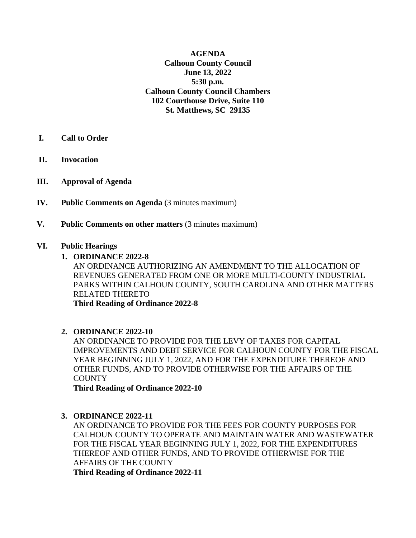**AGENDA Calhoun County Council June 13, 2022 5:30 p.m. Calhoun County Council Chambers 102 Courthouse Drive, Suite 110 St. Matthews, SC 29135**

- **I. Call to Order**
- **II. Invocation**
- **III. Approval of Agenda**
- **IV. Public Comments on Agenda** (3 minutes maximum)
- **V. Public Comments on other matters** (3 minutes maximum)

#### **VI. Public Hearings**

**1. ORDINANCE 2022-8** 

AN ORDINANCE AUTHORIZING AN AMENDMENT TO THE ALLOCATION OF REVENUES GENERATED FROM ONE OR MORE MULTI-COUNTY INDUSTRIAL PARKS WITHIN CALHOUN COUNTY, SOUTH CAROLINA AND OTHER MATTERS RELATED THERETO **Third Reading of Ordinance 2022-8**

#### **2. ORDINANCE 2022-10**

AN ORDINANCE TO PROVIDE FOR THE LEVY OF TAXES FOR CAPITAL IMPROVEMENTS AND DEBT SERVICE FOR CALHOUN COUNTY FOR THE FISCAL YEAR BEGINNING JULY 1, 2022, AND FOR THE EXPENDITURE THEREOF AND OTHER FUNDS, AND TO PROVIDE OTHERWISE FOR THE AFFAIRS OF THE **COUNTY** 

**Third Reading of Ordinance 2022-10**

#### **3. ORDINANCE 2022-11**

AN ORDINANCE TO PROVIDE FOR THE FEES FOR COUNTY PURPOSES FOR CALHOUN COUNTY TO OPERATE AND MAINTAIN WATER AND WASTEWATER FOR THE FISCAL YEAR BEGINNING JULY 1, 2022, FOR THE EXPENDITURES THEREOF AND OTHER FUNDS, AND TO PROVIDE OTHERWISE FOR THE AFFAIRS OF THE COUNTY **Third Reading of Ordinance 2022-11**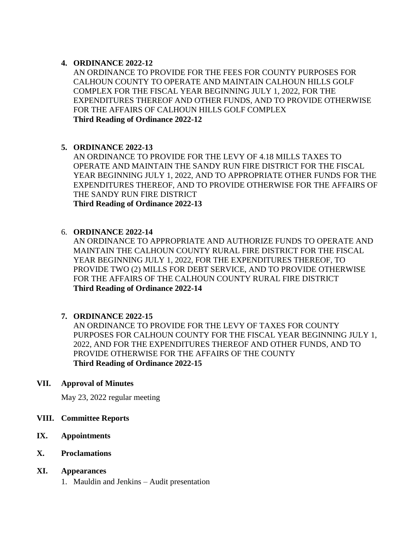# **4. ORDINANCE 2022-12**

AN ORDINANCE TO PROVIDE FOR THE FEES FOR COUNTY PURPOSES FOR CALHOUN COUNTY TO OPERATE AND MAINTAIN CALHOUN HILLS GOLF COMPLEX FOR THE FISCAL YEAR BEGINNING JULY 1, 2022, FOR THE EXPENDITURES THEREOF AND OTHER FUNDS, AND TO PROVIDE OTHERWISE FOR THE AFFAIRS OF CALHOUN HILLS GOLF COMPLEX **Third Reading of Ordinance 2022-12**

# **5. ORDINANCE 2022-13**

AN ORDINANCE TO PROVIDE FOR THE LEVY OF 4.18 MILLS TAXES TO OPERATE AND MAINTAIN THE SANDY RUN FIRE DISTRICT FOR THE FISCAL YEAR BEGINNING JULY 1, 2022, AND TO APPROPRIATE OTHER FUNDS FOR THE EXPENDITURES THEREOF, AND TO PROVIDE OTHERWISE FOR THE AFFAIRS OF THE SANDY RUN FIRE DISTRICT **Third Reading of Ordinance 2022-13**

# 6. **ORDINANCE 2022-14**

AN ORDINANCE TO APPROPRIATE AND AUTHORIZE FUNDS TO OPERATE AND MAINTAIN THE CALHOUN COUNTY RURAL FIRE DISTRICT FOR THE FISCAL YEAR BEGINNING JULY 1, 2022, FOR THE EXPENDITURES THEREOF, TO PROVIDE TWO (2) MILLS FOR DEBT SERVICE, AND TO PROVIDE OTHERWISE FOR THE AFFAIRS OF THE CALHOUN COUNTY RURAL FIRE DISTRICT **Third Reading of Ordinance 2022-14**

# **7. ORDINANCE 2022-15**

AN ORDINANCE TO PROVIDE FOR THE LEVY OF TAXES FOR COUNTY PURPOSES FOR CALHOUN COUNTY FOR THE FISCAL YEAR BEGINNING JULY 1, 2022, AND FOR THE EXPENDITURES THEREOF AND OTHER FUNDS, AND TO PROVIDE OTHERWISE FOR THE AFFAIRS OF THE COUNTY **Third Reading of Ordinance 2022-15**

#### **VII. Approval of Minutes**

May 23, 2022 regular meeting

# **VIII. Committee Reports**

- **IX. Appointments**
- **X. Proclamations**

#### **XI. Appearances**

1. Mauldin and Jenkins – Audit presentation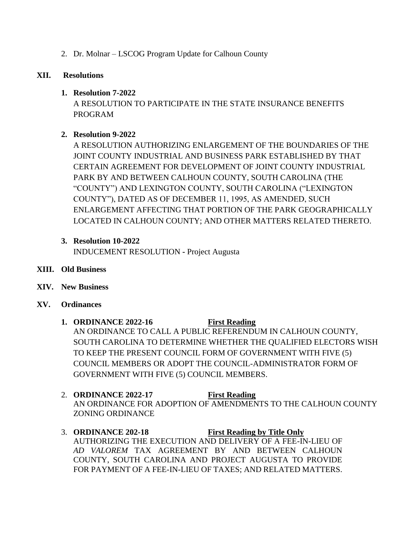2. Dr. Molnar – LSCOG Program Update for Calhoun County

# **XII. Resolutions**

# **1. Resolution 7-2022**

A RESOLUTION TO PARTICIPATE IN THE STATE INSURANCE BENEFITS PROGRAM

# **2. Resolution 9-2022**

A RESOLUTION AUTHORIZING ENLARGEMENT OF THE BOUNDARIES OF THE JOINT COUNTY INDUSTRIAL AND BUSINESS PARK ESTABLISHED BY THAT CERTAIN AGREEMENT FOR DEVELOPMENT OF JOINT COUNTY INDUSTRIAL PARK BY AND BETWEEN CALHOUN COUNTY, SOUTH CAROLINA (THE "COUNTY") AND LEXINGTON COUNTY, SOUTH CAROLINA ("LEXINGTON COUNTY"), DATED AS OF DECEMBER 11, 1995, AS AMENDED, SUCH ENLARGEMENT AFFECTING THAT PORTION OF THE PARK GEOGRAPHICALLY LOCATED IN CALHOUN COUNTY; AND OTHER MATTERS RELATED THERETO.

# **3. Resolution 10-2022**

INDUCEMENT RESOLUTION **-** Project Augusta

- **XIII. Old Business**
- **XIV. New Business**
- **XV. Ordinances** 
	- **1. ORDINANCE 2022-16 First Reading** AN ORDINANCE TO CALL A PUBLIC REFERENDUM IN CALHOUN COUNTY, SOUTH CAROLINA TO DETERMINE WHETHER THE QUALIFIED ELECTORS WISH TO KEEP THE PRESENT COUNCIL FORM OF GOVERNMENT WITH FIVE (5) COUNCIL MEMBERS OR ADOPT THE COUNCIL-ADMINISTRATOR FORM OF GOVERNMENT WITH FIVE (5) COUNCIL MEMBERS.
	- 2. **ORDINANCE 2022-17 First Reading** AN ORDINANCE FOR ADOPTION OF AMENDMENTS TO THE CALHOUN COUNTY ZONING ORDINANCE
	- 3. **ORDINANCE 202-18 First Reading by Title Only** AUTHORIZING THE EXECUTION AND DELIVERY OF A FEE-IN-LIEU OF *AD VALOREM* TAX AGREEMENT BY AND BETWEEN CALHOUN COUNTY, SOUTH CAROLINA AND PROJECT AUGUSTA TO PROVIDE FOR PAYMENT OF A FEE-IN-LIEU OF TAXES; AND RELATED MATTERS.